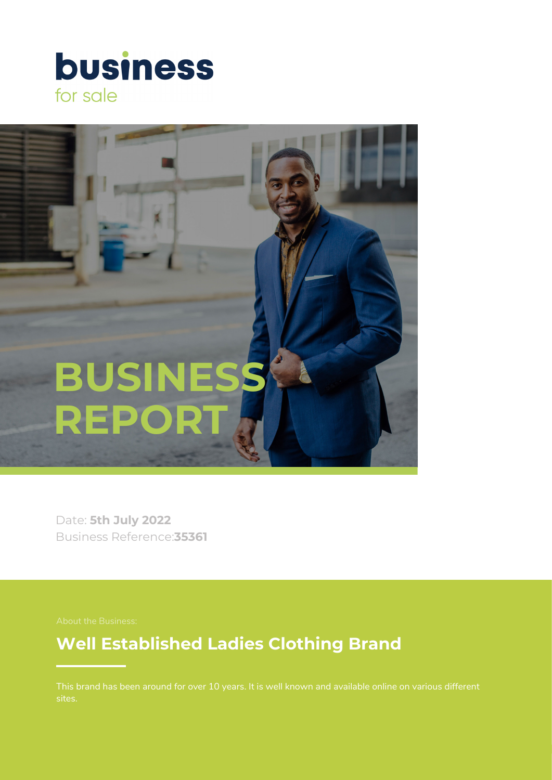



Date: **5th July 2022** Business Reference:**35361**

# **Well Established Ladies Clothing Brand**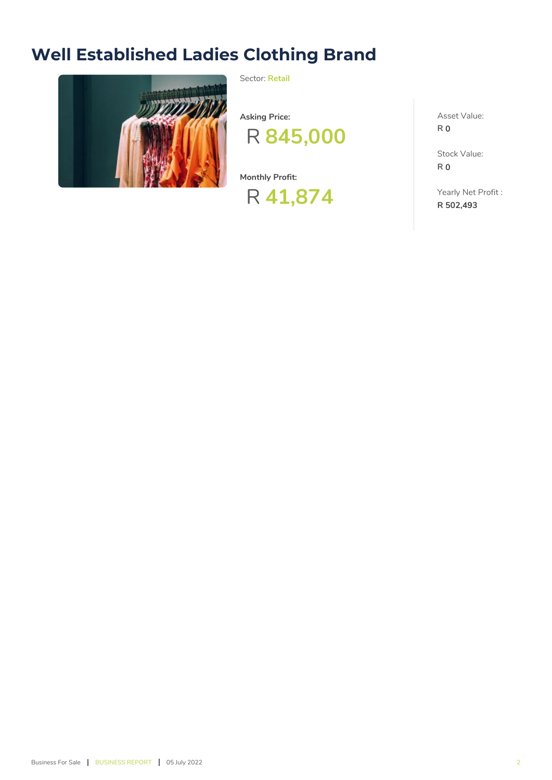# **Well Established Ladies Clothing Brand**



Sector: **Retail**

**Asking Price:**



**Monthly Profit:**



Asset Value: **R 0**

Stock Value: **R 0**

Yearly Net Profit : **R 502,493**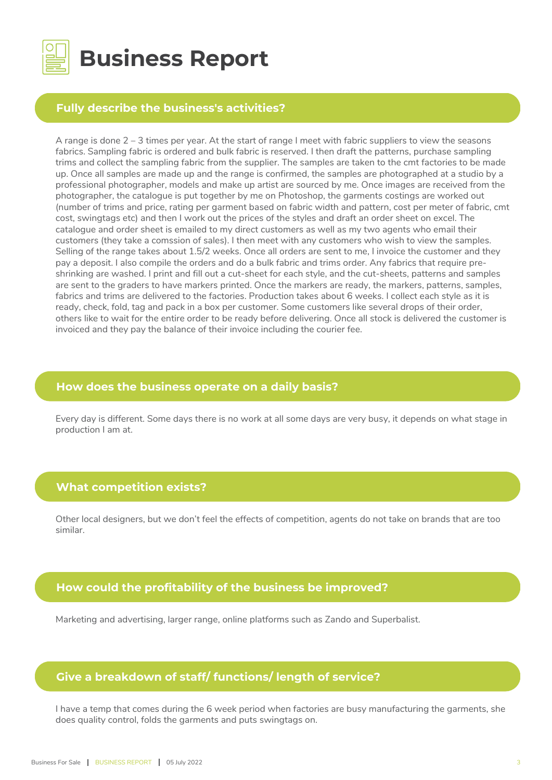

# **Business Report**

## **Fully describe the business's activities?**

A range is done 2 – 3 times per year. At the start of range I meet with fabric suppliers to view the seasons fabrics. Sampling fabric is ordered and bulk fabric is reserved. I then draft the patterns, purchase sampling trims and collect the sampling fabric from the supplier. The samples are taken to the cmt factories to be made up. Once all samples are made up and the range is confirmed, the samples are photographed at a studio by a professional photographer, models and make up artist are sourced by me. Once images are received from the photographer, the catalogue is put together by me on Photoshop, the garments costings are worked out (number of trims and price, rating per garment based on fabric width and pattern, cost per meter of fabric, cmt cost, swingtags etc) and then I work out the prices of the styles and draft an order sheet on excel. The catalogue and order sheet is emailed to my direct customers as well as my two agents who email their customers (they take a comssion of sales). I then meet with any customers who wish to view the samples. Selling of the range takes about 1.5/2 weeks. Once all orders are sent to me, I invoice the customer and they pay a deposit. I also compile the orders and do a bulk fabric and trims order. Any fabrics that require preshrinking are washed. I print and fill out a cut-sheet for each style, and the cut-sheets, patterns and samples are sent to the graders to have markers printed. Once the markers are ready, the markers, patterns, samples, fabrics and trims are delivered to the factories. Production takes about 6 weeks. I collect each style as it is ready, check, fold, tag and pack in a box per customer. Some customers like several drops of their order, others like to wait for the entire order to be ready before delivering. Once all stock is delivered the customer is invoiced and they pay the balance of their invoice including the courier fee.

#### **How does the business operate on a daily basis?**

Every day is different. Some days there is no work at all some days are very busy, it depends on what stage in production I am at.

## **What competition exists?**

Other local designers, but we don't feel the effects of competition, agents do not take on brands that are too similar.

#### **How could the profitability of the business be improved?**

Marketing and advertising, larger range, online platforms such as Zando and Superbalist.

## **Give a breakdown of staff/ functions/ length of service?**

I have a temp that comes during the 6 week period when factories are busy manufacturing the garments, she does quality control, folds the garments and puts swingtags on.